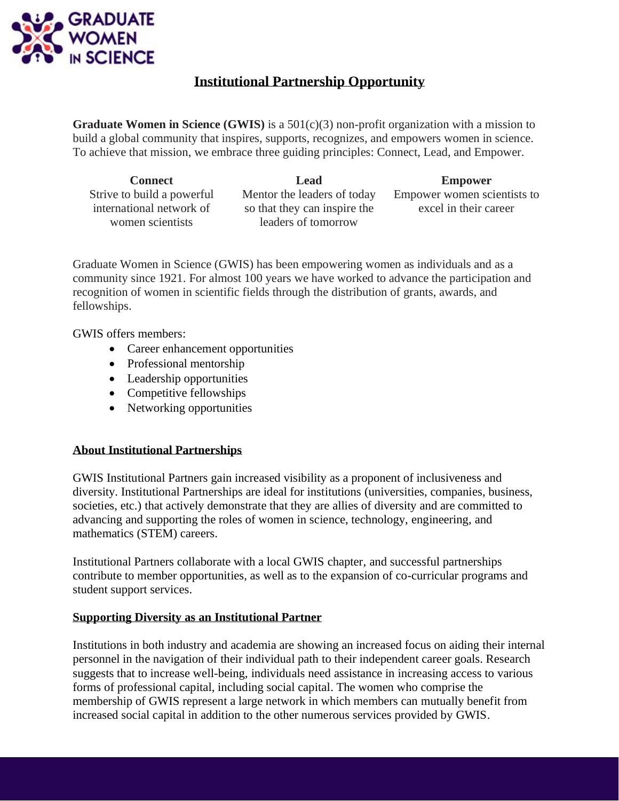

## **Institutional Partnership Opportunity**

**Graduate Women in Science (GWIS)** is a 501(c)(3) non-profit organization with a mission to build a global community that inspires, supports, recognizes, and empowers women in science. To achieve that mission, we embrace three guiding principles: Connect, Lead, and Empower.

Strive to build a powerful international network of women scientists

Mentor the leaders of today so that they can inspire the leaders of tomorrow

**Connect Lead Empower** Empower women scientists to excel in their career

Graduate Women in Science (GWIS) has been empowering women as individuals and as a community since 1921. For almost 100 years we have worked to advance the participation and recognition of women in scientific fields through the distribution of grants, awards, and fellowships.

GWIS offers members:

- Career enhancement opportunities
- Professional mentorship
- Leadership opportunities
- Competitive fellowships
- Networking opportunities

### **About Institutional Partnerships**

GWIS Institutional Partners gain increased visibility as a proponent of inclusiveness and diversity. Institutional Partnerships are ideal for institutions (universities, companies, business, societies, etc.) that actively demonstrate that they are allies of diversity and are committed to advancing and supporting the roles of women in science, technology, engineering, and mathematics (STEM) careers.

Institutional Partners collaborate with a local GWIS chapter, and successful partnerships contribute to member opportunities, as well as to the expansion of co-curricular programs and student support services.

### **Supporting Diversity as an Institutional Partner**

Institutions in both industry and academia are showing an increased focus on aiding their internal personnel in the navigation of their individual path to their independent career goals. Research suggests that to increase well-being, individuals need assistance in increasing access to various forms of professional capital, including social capital. The women who comprise the membership of GWIS represent a large network in which members can mutually benefit from increased social capital in addition to the other numerous services provided by GWIS.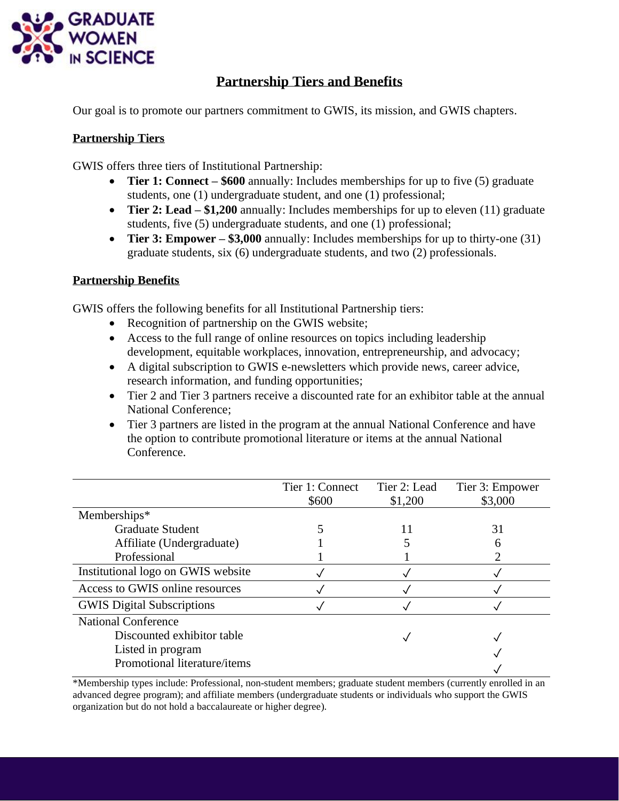

# **Partnership Tiers and Benefits**

Our goal is to promote our partners commitment to GWIS, its mission, and GWIS chapters.

## **Partnership Tiers**

GWIS offers three tiers of Institutional Partnership:

- **Tier 1: Connect \$600** annually: Includes memberships for up to five (5) graduate students, one (1) undergraduate student, and one (1) professional;
- **Tier 2: Lead \$1,200** annually: Includes memberships for up to eleven (11) graduate students, five (5) undergraduate students, and one (1) professional;
- **Tier 3: Empower – \$3,000** annually: Includes memberships for up to thirty-one (31) graduate students, six (6) undergraduate students, and two (2) professionals.

## **Partnership Benefits**

GWIS offers the following benefits for all Institutional Partnership tiers:

- Recognition of partnership on the GWIS website;
- Access to the full range of online resources on topics including leadership development, equitable workplaces, innovation, entrepreneurship, and advocacy;
- A digital subscription to GWIS e-newsletters which provide news, career advice, research information, and funding opportunities;
- Tier 2 and Tier 3 partners receive a discounted rate for an exhibitor table at the annual National Conference;
- Tier 3 partners are listed in the program at the annual National Conference and have the option to contribute promotional literature or items at the annual National Conference.

|                                    | Tier 1: Connect | Tier 2: Lead | Tier 3: Empower |
|------------------------------------|-----------------|--------------|-----------------|
|                                    | \$600           | \$1,200      | \$3,000         |
| Memberships*                       |                 |              |                 |
| <b>Graduate Student</b>            |                 | 11           | 31              |
| Affiliate (Undergraduate)          |                 |              |                 |
| Professional                       |                 |              |                 |
| Institutional logo on GWIS website |                 |              |                 |
| Access to GWIS online resources    |                 |              |                 |
| <b>GWIS</b> Digital Subscriptions  |                 |              |                 |
| <b>National Conference</b>         |                 |              |                 |
| Discounted exhibitor table         |                 |              |                 |
| Listed in program                  |                 |              |                 |
| Promotional literature/items       |                 |              |                 |

\*Membership types include: Professional, non-student members; graduate student members (currently enrolled in an advanced degree program); and affiliate members (undergraduate students or individuals who support the GWIS organization but do not hold a baccalaureate or higher degree).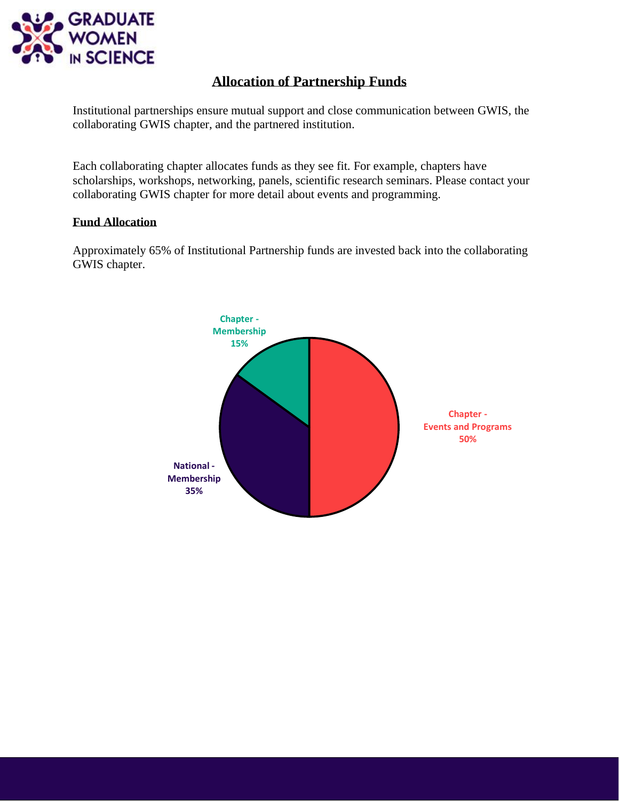

# **Allocation of Partnership Funds**

Institutional partnerships ensure mutual support and close communication between GWIS, the collaborating GWIS chapter, and the partnered institution.

Each collaborating chapter allocates funds as they see fit. For example, chapters have scholarships, workshops, networking, panels, scientific research seminars. Please contact your collaborating GWIS chapter for more detail about events and programming.

### **Fund Allocation**

Approximately 65% of Institutional Partnership funds are invested back into the collaborating GWIS chapter.

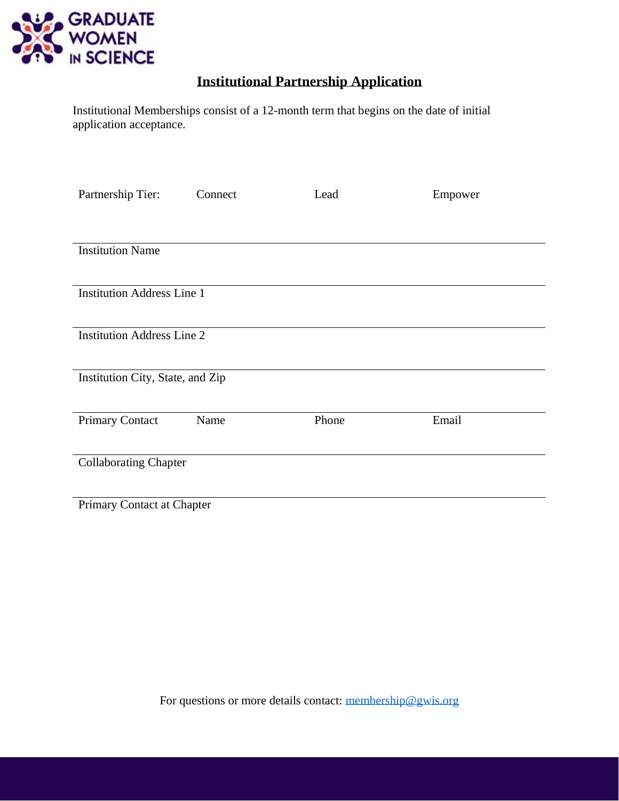

# **Institutional Partnership Application**

Institutional Memberships consist of a 12-month term that begins on the date of initial application acceptance.

| Partnership Tier:                 | Connect | Lead  | Empower |  |  |  |  |
|-----------------------------------|---------|-------|---------|--|--|--|--|
|                                   |         |       |         |  |  |  |  |
| <b>Institution Name</b>           |         |       |         |  |  |  |  |
| <b>Institution Address Line 1</b> |         |       |         |  |  |  |  |
| <b>Institution Address Line 2</b> |         |       |         |  |  |  |  |
| Institution City, State, and Zip  |         |       |         |  |  |  |  |
| <b>Primary Contact</b>            | Name    | Phone | Email   |  |  |  |  |
| <b>Collaborating Chapter</b>      |         |       |         |  |  |  |  |
| Primary Contact at Chapter        |         |       |         |  |  |  |  |

For questions or more details contact: [membership@gwis.org](mailto:membership@gwis.org)